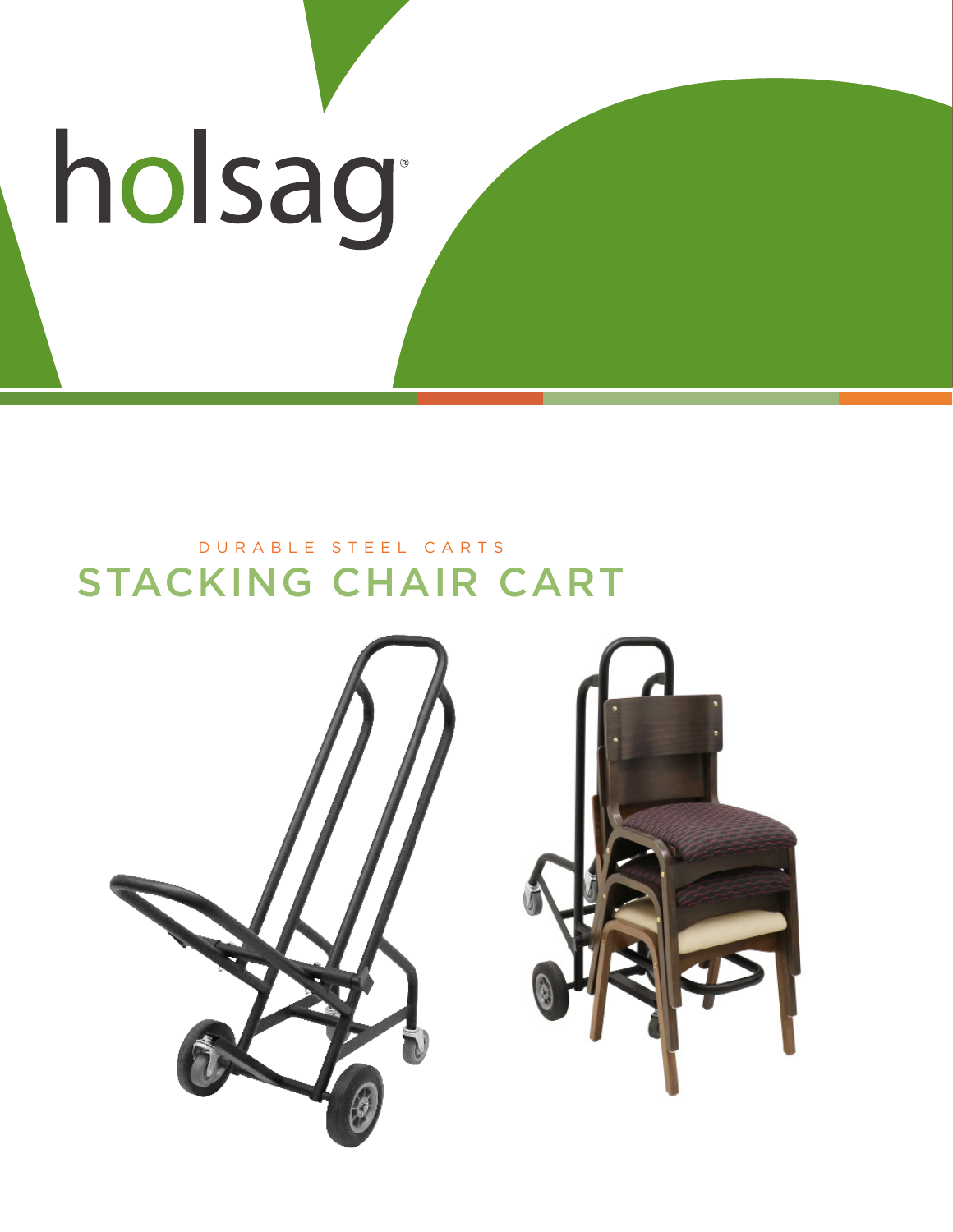# holsag

## STACKING CHAIR CART DURABLE STEEL CARTS

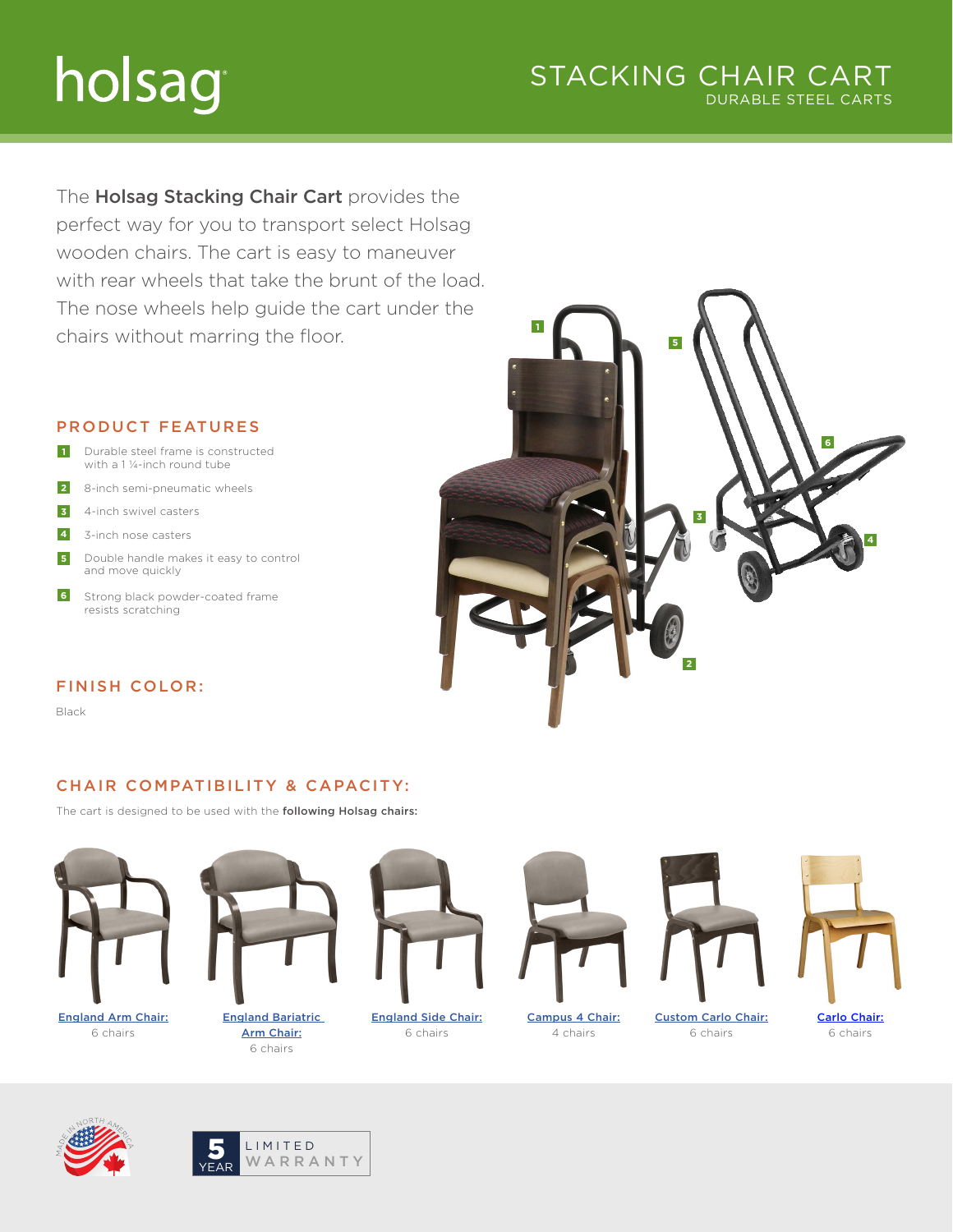# holsag

#### STACKING CHAIR CART DURABLE STEEL CARTS

The Holsag Stacking Chair Cart provides the perfect way for you to transport select Holsag wooden chairs. The cart is easy to maneuver with rear wheels that take the brunt of the load. The nose wheels help guide the cart under the chairs without marring the floor.

#### PRODUCT FEATURES

- Durable steel frame is constructed with a 1 ¼-inch round tube **1**
- 8-inch semi-pneumatic wheels **2**
- 4-inch swivel casters **3**
- 3-inch nose casters **4**
- Double handle makes it easy to control and move quickly **5**
- Strong black powder-coated frame resists scratching **6**

#### FINISH COLOR:

Black

#### CHAIR COMPATIBILITY & CAPACITY:

The cart is designed to be used with the following Holsag chairs:



[England Arm Chair:](https://holsag.com/product/england-arm-chair) 6 chairs



[England Bariatric](https://holsag.com/product/england-bariatric-arm-chair)  [Arm Chair:](https://holsag.com/product/england-bariatric-arm-chair) 6 chairs



[England Side Chair:](https://holsag.com/product/england-side-chair) 6 chairs



4 chairs

[Custom Carlo Chair:](https://holsag.com/product/carlo-chair)

6 chairs





**4 6 5 3 2 1**